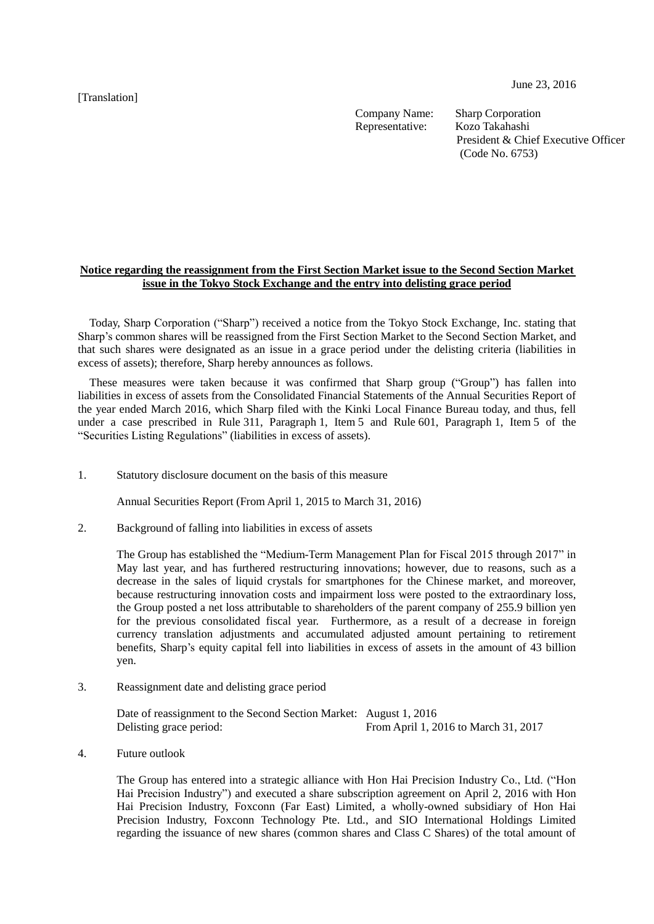[Translation]

June 23, 2016

Company Name: Sharp Corporation<br>
Representative: Kozo Takahashi Representative:

President & Chief Executive Officer (Code No. 6753)

## **Notice regarding the reassignment from the First Section Market issue to the Second Section Market issue in the Tokyo Stock Exchange and the entry into delisting grace period**

Today, Sharp Corporation ("Sharp") received a notice from the Tokyo Stock Exchange, Inc. stating that Sharp's common shares will be reassigned from the First Section Market to the Second Section Market, and that such shares were designated as an issue in a grace period under the delisting criteria (liabilities in excess of assets); therefore, Sharp hereby announces as follows.

These measures were taken because it was confirmed that Sharp group ("Group") has fallen into liabilities in excess of assets from the Consolidated Financial Statements of the Annual Securities Report of the year ended March 2016, which Sharp filed with the Kinki Local Finance Bureau today, and thus, fell under a case prescribed in Rule 311, Paragraph 1, Item 5 and Rule 601, Paragraph 1, Item 5 of the "Securities Listing Regulations" (liabilities in excess of assets).

1. Statutory disclosure document on the basis of this measure

Annual Securities Report (From April 1, 2015 to March 31, 2016)

2. Background of falling into liabilities in excess of assets

The Group has established the "Medium-Term Management Plan for Fiscal 2015 through 2017" in May last year, and has furthered restructuring innovations; however, due to reasons, such as a decrease in the sales of liquid crystals for smartphones for the Chinese market, and moreover, because restructuring innovation costs and impairment loss were posted to the extraordinary loss, the Group posted a net loss attributable to shareholders of the parent company of 255.9 billion yen for the previous consolidated fiscal year. Furthermore, as a result of a decrease in foreign currency translation adjustments and accumulated adjusted amount pertaining to retirement benefits, Sharp's equity capital fell into liabilities in excess of assets in the amount of 43 billion yen.

3. Reassignment date and delisting grace period

Date of reassignment to the Second Section Market: August 1, 2016 Delisting grace period: From April 1, 2016 to March 31, 2017

4. Future outlook

The Group has entered into a strategic alliance with Hon Hai Precision Industry Co., Ltd. ("Hon Hai Precision Industry") and executed a share subscription agreement on April 2, 2016 with Hon Hai Precision Industry, Foxconn (Far East) Limited, a wholly-owned subsidiary of Hon Hai Precision Industry, Foxconn Technology Pte. Ltd., and SIO International Holdings Limited regarding the issuance of new shares (common shares and Class C Shares) of the total amount of